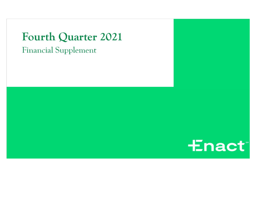**Fourth Quarter 2021** 

**Financial Supplement** 

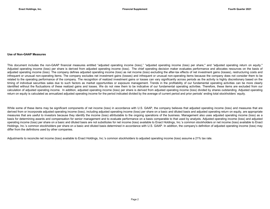### Use of Non-GAAP Measures

This document includes the non-GAAP financial measures entitled "adjusted operating income (loss)," "adjusted operating income (loss) per share," and "adjusted operating return on equity." Adjusted operating income (loss) per share is derived from adjusted operating income (loss). The chief operating decision maker evaluates performance and allocates resources on the basis of adjusted operating income (loss). The company defines adjusted operating income (loss) as net income (loss) excluding the after-tax effects of net investment gains (losses), restructuring costs and infrequent or unusual non-operating items. The company excludes net investment gains (losses) and infrequent or unusual non-operating items because the company does not consider them to be related to the operating performance of the company. The recognition of realized investment gains or losses can vary significantly across periods as the activity is highly discretionary based on the timing of individual securities sales due to such factors as market opportunities or exposure management. Trends in the profitability of our fundamental operating activities can be more clearly identified without the fluctuations of these realized gains and losses. We do not view them to be indicative of our fundamental operating activities. Therefore, these items are excluded from our calculation of adjusted operating income. In addition, adjusted operating income (loss) per share is derived from adjusted operating income (loss) divided by shares outstanding. Adjusted operating return on equity is calculated as annualized adjusted operating income for the period indicated divided by the average of current period and prior periods' ending total stockholders' equity.

While some of these items may be significant components of net income (loss) in accordance with U.S. GAAP, the company believes that adjusted operating income (loss) and measures that are derived from or incorporate adjusted operating income (loss), including adjusted operating income (loss) per share on a basic and diluted basis and adjusted operating return on equity, are appropriate measures that are useful to investors because they identify the income (loss) attributable to the ongoing operations of the business. Management also uses adjusted operating income (loss) as a basis for determining awards and compensation for senior management and to evaluate performance on a basis comparable to that used by analysts. Adjusted operating income (loss) and adjusted operating income (loss) per share on a basic and diluted basis are not substitutes for net income (loss) available to Enact Holdings, Inc.'s common stockholders or net income (loss) available to Enact Holdings, Inc.'s common stockholders per share on a basic and diluted basis determined in accordance with U.S. GAAP. In addition, the company's definition of adjusted operating income (loss) may differ from the definitions used by other companies.

Adjustments to reconcile net income (loss) available to Enact Holdings, Inc.'s common stockholders to adjusted operating income (loss) assume a 21% tax rate.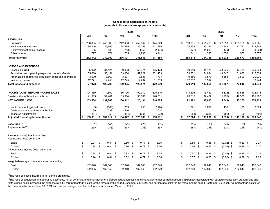### Consolidated Statements of Income (amounts in thousands, except per share amounts)

|                                                                |    |                      |                  |      | 2021              |     |            |      |              |    |           |                  | 2020        |               |      |              |
|----------------------------------------------------------------|----|----------------------|------------------|------|-------------------|-----|------------|------|--------------|----|-----------|------------------|-------------|---------------|------|--------------|
|                                                                |    | 4Q                   | 3Q               |      | 2Q                |     | 1Q         |      | <b>Total</b> |    | 4Q        | 3Q               | 2Q          | 1Q            |      | <b>Total</b> |
| <b>REVENUES:</b>                                               |    |                      |                  |      |                   |     |            |      |              |    |           |                  |             |               |      |              |
| Premiums                                                       | \$ | 236,864              | \$<br>243,063 \$ |      | 242,480           | -\$ | 252,542 \$ |      | 974,949      | \$ | 250,891   | \$<br>251,423 \$ | 242,853     | \$<br>226,198 | \$   | 971,365      |
| Net investment income                                          |    | 35,246               | 35,995           |      | 34,689            |     | 35,259     |      | 141,189      |    | 34,953    | 33,197           | 31,962      | 32,731        |      | 132,843      |
| Net investment gains (losses)                                  |    | 5                    | 580              |      | (1,753)           |     | (956)      |      | (2, 124)     |    | (1, 371)  | (1,609)          | (439)       | 95            |      | (3, 324)     |
| Other Income                                                   |    | 727                  | 671              |      | 705               |     | 1,738      |      | 3,841        |    | 1,041     | 1,325            | 1,656       | 1,553         |      | 5,575        |
| <b>Total revenues</b>                                          |    | 272,842              | 280,309          |      | 276,121           |     | 288,583    |      | 1,117,855    |    | 285,514   | 284,336          | 276,032     | 260,577       |      | 1,106,459    |
| <b>LOSSES AND EXPENSES:</b>                                    |    |                      |                  |      |                   |     |            |      |              |    |           |                  |             |               |      |              |
| Losses incurred                                                |    | 5,972                | 34,124           |      | 30,003            |     | 55,374     |      | 125,473      |    | 89,049    | 44,475           | 228,826     | 17,484        |      | 379,834      |
| Acquisition and operating expenses, net of deferrals           |    | 55,630               | 55,151           |      | 63,050            |     | 57,622     |      | 231,453      |    | 59,551    | 54,994           | 48,847      | 51,632        |      | 215,024      |
| Amortization of deferred acquisition costs and intangibles     |    | 3,600                | 3,669            |      | 3,597             |     | 3,838      |      | 14,704       |    | 9,486     | 3,873            | 3,684       | 3,896         |      | 20,939       |
| Interest expense                                               |    | 12,771               | 12,756           |      | 12,745            |     | 12,737     |      | 51,009       |    | 12,732    | 5,512            |             |               |      | 18,244       |
| <b>Total losses and expenses</b>                               |    | 77,973               | 105,700          |      | 109,395           |     | 129,571    |      | 422,639      |    | 170,818   | 108,854          | 281,357     | 73,012        |      | 634,041      |
|                                                                |    |                      |                  |      |                   |     |            |      |              |    |           |                  |             |               |      |              |
| <b>INCOME (LOSS) BEFORE INCOME TAXES</b>                       |    | 194,869              | 174,609          |      | 166,726           |     | 159,012    |      | 695,216      |    | 114,696   | 175,482          | (5,325)     | 187,565       |      | 472,418      |
| Provision (benefit) for income taxes                           |    | 41,335               | 37,401           |      | 35,914            |     | 33,881     |      | 148,531      |    | 23,515    | 37,467           | (1, 285)    | 42,300        |      | 101,997      |
| <b>NET INCOME (LOSS)</b>                                       |    | 153,534              | 137,208          |      | 130,812           |     | 125,131    |      | 546,685      |    | 91,181    | 138,015          | (4,040)     | 145,265       |      | 370,421      |
| Net investment (gains) losses                                  |    | (5)                  | (580)            |      | 1,753             |     | 956        |      | 2,124        |    | 1,371     | 1,609            | 439         | (95)          |      | 3,324        |
| Costs associated with reorganization                           |    | 89                   | 339              |      | 2,316             |     |            |      | 2,744        |    |           |                  | $\sim$      |               |      |              |
| Taxes on adjustments                                           |    | (17)                 | 50               |      | (854)             |     | (201)      |      | (1,022)      |    | (288)     | (338)            | (92)        | 20            |      | (698)        |
| <b>Adjusted Operating Income (Loss)</b>                        | S  | $153,601$ $\sqrt{5}$ | 137,017          | - \$ | 134,027           | \$  | 125,886 \$ |      | 550,531      | \$ | 92,264    | 139,286          | (3, 693)    | \$<br>145,190 | - \$ | 373,047      |
| Loss ratio <sup>(1)</sup>                                      |    | 3%                   | 14%              |      | 12%               |     | 22%        |      | 13%          |    | 35%       | 18%              | 94%         | 8%            |      | 39%          |
| Expense ratio $(2)$                                            |    | 25%                  | 24%              |      | 27%               |     | 24%        |      | 25%          |    | 28%       | 23%              | 22%         | 25%           |      | 24%          |
| Earnings (Loss) Per Share Data:<br>Net Income (loss) per share |    |                      |                  |      |                   |     |            |      |              |    |           |                  |             |               |      |              |
| <b>Basic</b>                                                   | \$ | 0.94                 | \$<br>$0.84$ \$  |      | 0.80 <sup>5</sup> |     | 0.77       | - \$ | 3.36         | \$ | $0.56$ \$ | $0.85$ \$        | $(0.02)$ \$ | 0.89          | - \$ | 2.27         |
| <b>Diluted</b>                                                 | \$ | 0.94                 | \$<br>$0.84$ \$  |      | $0.80$ \$         |     | $0.77$ \$  |      | 3.36         | \$ | $0.56$ \$ | $0.85$ \$        | $(0.02)$ \$ | 0.89          | - \$ | 2.27         |
| Adj operating income (loss) per share                          |    |                      |                  |      |                   |     |            |      |              |    |           |                  |             |               |      |              |
| Basic                                                          | \$ | 0.94                 | \$<br>$0.84$ \$  |      | $0.82$ \$         |     | $0.77$ \$  |      | 3.38         | \$ | $0.57$ \$ | $0.86$ \$        | $(0.02)$ \$ | 0.89          | - \$ | 2.29         |
| <b>Diluted</b>                                                 | \$ | 0.94                 | \$<br>$0.84$ \$  |      | $0.82$ \$         |     | $0.77$ \$  |      | 3.38         | \$ | $0.57$ \$ | $0.86$ \$        | $(0.02)$ \$ | 0.89          | \$   | 2.29         |
| Weighted-average common shares outstanding                     |    |                      |                  |      |                   |     |            |      |              |    |           |                  |             |               |      |              |
| <b>Basic</b>                                                   |    | 162,840              | 162,840          |      | 162,840           |     | 162,840    |      | 162,840      |    | 162,840   | 162,840          | 162,840     | 162,840       |      | 162,840      |
| <b>Diluted</b>                                                 |    | 162,985              | 162,852          |      | 162,840           |     | 162,840    |      | 162,879      |    | 162,840   | 162,840          | 162,840     | 162,840       |      | 162,840      |

 $(1)$ The ratio of losses incurred to net earned premiums.

<sup>(2)</sup>The ratio of acquisition and operating expenses, net of deferrals, and amortization of deferred acquisition costs and intangibles to net earned premiums. Expenses associated with strategic transaction preparations and restructuring costs increased the expense ratio by zero percentage points for the three months ended December 31, 2021, one percentage point for the three months ended September 30, 2021, two percentage points for the three months ended June 30, 2021 and one percentage point for the three months ended March 31, 2021.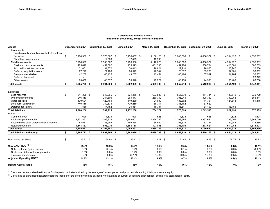### Consolidated Balance Sheets (amounts in thousands, except per share amounts)

| <b>Assets</b>                                    | December 31, 2021  | September 30, 2021 | June 30, 2021 | March 31, 2021 | December 31, 2020 September 30, 2020 |              | June 30, 2020 | March 31, 2020     |
|--------------------------------------------------|--------------------|--------------------|---------------|----------------|--------------------------------------|--------------|---------------|--------------------|
| Investments:                                     |                    |                    |               |                |                                      |              |               |                    |
| Fixed maturity securities available-for-sale, at |                    |                    |               |                |                                      |              |               |                    |
| fair value                                       | \$<br>5,266,339 \$ | 5,376,067 \$       | 5,256,467 \$  | 5,106,128 \$   | 5,046,596 \$                         | 4,808,379 \$ | 4,384,126 \$  | 4,055,962          |
| Short term investments                           |                    | 12,500             | 12,499        | 12.500         |                                      |              |               |                    |
| <b>Total investments</b>                         | 5,266,339          | 5,388,567          | 5,268,966     | 5,118,628      | 5,046,596                            | 4,808,379    | 4,384,126     | 4,055,962          |
| Cash and cash equivalents                        | 425,828            | 451,582            | 435,323       | 431,335        | 452,794                              | 556,734      | 418,581       | 302,209            |
| Accrued investment income                        | 31,061             | 31,372             | 30,843        | 28,821         | 29,210                               | 28,965       | 28,947        | 26,566             |
| Deferred acquisition costs                       | 27,220             | 27,788             | 28,322        | 28,544         | 28,872                               | 33,228       | 32,101        | 30,662             |
| Premiums receivable                              | 42,266             | 43,425             | 43,287        | 42,454         | 46,464                               | 37,917       | 34,964        | 39,832             |
| Deferred tax asset                               |                    |                    |               |                |                                      |              |               | 26,822             |
| Other assets                                     | 73,059             | 48,572             | 55,348        | 49,921         | 48,774                               | 44,993       | 55,409        | 60,788             |
| <b>Total assets</b>                              | \$<br>5,865,773 \$ | 5,991,306 \$       | 5,862,089 \$  | 5,699,703 \$   | 5,652,710 \$                         | 5,510,216 \$ | 4,954,128 \$  | 4,542,841          |
| Liabilities:                                     |                    |                    |               |                |                                      |              |               |                    |
|                                                  | \$<br>641,325 \$   | 648,365 \$         | 624,256 \$    | 603,528 \$     | 555,679 \$                           | 474,744 \$   | 439,542 \$    |                    |
| Loss reserves<br>Unearned premiums               | 246,319            | 254,806            | 263,573       | 280,742        | 306,945                              | 328,369      | 339,968       | 230,729<br>365,841 |
| Other liabilities                                | 130,604            | 129,464            | 119,289       | 121,609        | 133,302                              | 171,751      |               |                    |
| Long-term borrowings                             | 740,416            | 739,838            | 739,269       | 738,711        | 738,162                              | 737,622      | 124,514       | 81,315             |
| Deferred tax liability                           | 1,586              | 17,452             | 25,851        | 19,787         | 36,811                               | 31,100       | 18.166        |                    |
|                                                  |                    |                    |               |                |                                      |              |               |                    |
| <b>Total liabilities</b>                         | 1,760,250          | 1,789,925          | 1,772,238     | 1,764,377      | 1,770,899                            | 1,743,586    | 922,190       | 677,885            |
| Equity:                                          |                    |                    |               |                |                                      |              |               |                    |
| Common stock                                     | 1,628              | 1,628              | 1,628         | 1,628          | 1,628                                | 1,628        | 1,628         | 1,628              |
| Additional paid-in capital                       | 2,371,861          | 2,369,822          | 2,369,601     | 2,368,782      | 2,368,699                            | 2,367,631    | 2,366,099     | 2,363,710          |
| Accumulated other comprehensive income           | 83,581             | 133,955            | 159,854       | 136,960        | 208,378                              | 183,747      | 152,948       | (15,685)           |
| Retained earnings                                | 1,648,453          | 1,695,976          | 1,558,768     | 1,427,956      | 1,303,106                            | 1,213,624    | 1,511,263     | 1,515,303          |
| <b>Total equity</b>                              | 4,105,523          | 4,201,381          | 4,089,851     | 3,935,326      | 3,881,811                            | 3,766,630    | 4,031,938     | 3,864,956          |
| <b>Total liabilities and equity</b>              | \$<br>5,865,773 \$ | 5,991,306 \$       | 5,862,089 \$  | 5,699,703 \$   | 5,652,710 \$                         | 5,510,216 \$ | 4,954,128 \$  | 4,542,841          |
| Book value per share                             | \$<br>$25.21$ \$   | 25.80 \$           | $25.12$ \$    | 24.17 \$       | $23.84$ \$                           | $23.13$ \$   | 24.76 \$      | 23.73              |
| U.S. GAAP ROE <sup>(1)</sup>                     | 14.8%              | 13.2%              | 13.0%         | 12.8%          | 9.5%                                 | 14.2%        | $(0.4)\%$     | 15.1%              |
| Net investment (gains) losses                    | 0.0%               | (0.1)%             | 0.2%          | 0.1%           | 0.1%                                 | 0.2%         | 0.0%          | (0.0)%             |
| Costs associated with reorganization             | 0.0%               | 0.0%               | 0.2%          | 0.0%           | 0.0%                                 | 0.0%         | 0.0%          | 0.0%               |
| Taxes on adjustments                             | 0.0%               | 0.0%               | (0.1)%        | (0.0)%         | (0.0)%                               | (0.0)%       | (0.0)%        | 0.0%               |
| Adjusted Operating ROE <sup>(2)</sup>            | 14.8%              | 13.2%              | 13.4%         | 12.9%          | 9.7%                                 | 14.3%        | $(0.4)\%$     | 15.1%              |
| <b>Debt to Capital Ratio</b>                     | 15%                | 15%                | 15%           | 16%            | 16%                                  | 16%          | 0%            | 0%                 |

<sup>(1)</sup> Calculated as annualized net income for the period indicated divided by the average of current period and prior periods' ending total stockholders' equity

(2) Calculated as annualized adjusted operating income for the period indicated divided by the average of current period and prior periods' ending total stockholders' equity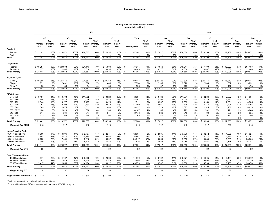# Primary New Insurance Written Metrics (amounts in millions)

|                           |                       |                                 |                       |                          |                       | 2021                            |                       |                                 |                         |                    |                          |                       |                                 |                       |                                 | 2020                  |                               |                       |                               |                       |                          |
|---------------------------|-----------------------|---------------------------------|-----------------------|--------------------------|-----------------------|---------------------------------|-----------------------|---------------------------------|-------------------------|--------------------|--------------------------|-----------------------|---------------------------------|-----------------------|---------------------------------|-----------------------|-------------------------------|-----------------------|-------------------------------|-----------------------|--------------------------|
|                           |                       | 4Q                              |                       | 3Q                       | 2Q                    |                                 |                       | 1Q                              |                         | Total              |                          |                       | 4Q                              |                       | 3Q                              |                       | <b>2Q</b>                     | 10                    |                               | Total                 |                          |
|                           | Primary<br><b>NIW</b> | $%$ of<br>Primary<br><b>NIW</b> | Primary<br><b>NIW</b> | $%$ of<br>Primary<br>NIW | Primary<br><b>NIW</b> | $%$ of<br>Primary<br><b>NIW</b> | Primary<br><b>NIW</b> | $%$ of<br>Primary<br><b>NIW</b> |                         | <b>Primary NIW</b> | $%$ of<br>Primary<br>NIW | Primary<br><b>NIW</b> | $%$ of<br>Primary<br><b>NIW</b> | Primary<br><b>NIW</b> | $%$ of<br>Primary<br><b>NIW</b> | Primary<br><b>NIW</b> | % of<br>Primary<br><b>NIW</b> | Primary<br><b>NIW</b> | % of<br>Primary<br><b>NIW</b> | Primary<br><b>NIW</b> | $%$ of<br>Primary<br>NIW |
| Product                   |                       |                                 |                       |                          |                       |                                 |                       |                                 |                         |                    |                          |                       |                                 |                       |                                 |                       |                               |                       |                               |                       |                          |
| Primary<br>Pool           | \$21,441              | 100%<br>0%                      | \$23,972              | 100%<br>0%               | \$26,657              | 100%<br>0%                      | \$24,934              | 100%<br>0%                      | -\$                     | 97.004             | 100%<br>0%               | \$27,017              | 100%<br>$0\%$                   | \$26,550              | 100%<br>0%                      | \$28,396              | 100%<br>0%                    | \$17,908              | 100%<br>0%                    | \$99,871              | 100%<br>0%               |
| Total                     | \$21,441              | 100%                            | \$23,972              | 100%                     | \$26,657              | 100%                            | \$24,934              | 100%                            | $\overline{\mathbf{s}}$ | 97.004             | 100%                     | \$27,017              | 100%                            | \$26,550              | 100%                            | \$28,396              | 100%                          | \$17,908              | 100%                          | \$99,871              | 100%                     |
| Origination               |                       |                                 |                       |                          |                       |                                 |                       |                                 |                         |                    |                          |                       |                                 |                       |                                 |                       |                               |                       |                               |                       |                          |
| Purchase                  | \$19,284              | 90%                             | \$20,988              | 88%                      | \$21.143              | 79%                             | \$15,500              | 62%                             | $\mathfrak{s}$          | 76,915             | 79%                      | \$17,840              | 66%                             | \$19,914              | 75%                             | \$17,409              | 61%                           | 12,020<br>\$          | 67%                           | \$67,183              | 67%                      |
| Refinance                 | 2,157                 | 10%                             | 2,984                 | 12%                      | 5,514                 | 21%                             | 9,434                 | 38%                             |                         | 20,089             | 21%                      | 9,177                 | 34%                             | 6,636                 | 25%                             | 10,987                | 39%                           | 5,888                 | 33%                           | 32,688                | 33%                      |
| <b>Total Primary</b>      | \$21,441              | 100%                            | \$23,972              | 100%                     | \$26,657              | 100%                            | \$24,934              | 100%                            | -\$                     | 97,004             | 100%                     | \$27,017              | 100%                            | \$26,550              | 100%                            | \$28,396              | 100%                          | \$17,908              | 100%                          | \$99,871              | 100%                     |
| <b>Payment Type</b>       |                       |                                 |                       |                          |                       |                                 |                       |                                 |                         |                    |                          |                       |                                 |                       |                                 |                       |                               |                       |                               |                       |                          |
| Monthly                   | \$19,395              | 91%                             | \$21,475              | 90%                      | \$24,887              | 93%                             | \$23,358              | 94%                             | -\$                     | 89,115             | 92%                      | \$24,725              | 92%                             | \$23,399              | 88%                             | \$25,774              | 91%                           | 16,249<br>\$          | 91%                           | \$90,147              | 90%                      |
| Single                    | 1,991                 | 9%                              | 2,431                 | 10%                      | 1.686                 | 7%                              | 1,446                 | 6%                              |                         | 7,554              | 8%                       | 2,185                 | 8%                              | 3,028                 | 12%                             | 2,506                 | 9%                            | 1,532                 | 8%                            | 9,251                 | 9%                       |
| Other $(1)$               | 55                    | 0%                              | 66                    | 0%                       | 84                    | 0%                              | 130                   | 0%                              |                         | 335                | 0%                       | 107                   | 0%                              | 123                   | 0%                              | 116                   | 0%                            | 127                   | 1%                            | 473                   | 1%                       |
| <b>Total Primary</b>      | \$21,441              | 100%                            | \$23,972              | 100%                     | \$26,657              | 100%                            | \$24,934              | 100%                            | $\overline{\mathbf{s}}$ | 97,004             | 100%                     | \$27,017              | 100%                            | \$26,550              | 100%                            | \$28,396              | 100%                          | \$17,908              | 100%                          | \$99,871              | 100%                     |
| <b>FICO Scores</b>        |                       |                                 |                       |                          |                       |                                 |                       |                                 |                         |                    |                          |                       |                                 |                       |                                 |                       |                               |                       |                               |                       |                          |
| Over 760                  | 9,401<br>\$           | 44%                             | \$10.708              | 45%                      | \$11.762              | 44%                             | \$10,520              | 42%                             | -\$                     | 42,391             | 44%                      | \$10,480              | 39%                             | \$11,291              | 43%                             | \$12,286              | 43%                           | 7,527<br>\$           | 42%                           | \$41,584              | 42%                      |
| 740 - 759                 | 3,406                 | 16%                             | 3.830                 | 16%                      | 3.995                 | 15%                             | 3,836                 | 15%                             |                         | 15.067             | 16%                      | 4.293                 | 16%                             | 4.094                 | 15%                             | 4,780                 | 17%                           | 3,211                 | 18%                           | 16,378                | 16%                      |
| 720 - 739<br>700 - 719    | 2.844<br>2,257        | 13%<br>11%                      | 3.177<br>2,702        | 13%<br>11%               | 3.467<br>3,131        | 13%<br>12%                      | 3.423<br>2,979        | 14%<br>12%                      |                         | 12.911<br>11,069   | 13%<br>11%               | 3.967<br>3,561        | 15%<br>13%                      | 3.533<br>3.115        | 13%<br>12%                      | 4,154<br>3,313        | 14%<br>12%                    | 2.651<br>2,204        | 14%<br>12%                    | 14,305<br>12,193      | 14%<br>12%               |
| 680 - 699                 | 1,589                 | 7%                              | 1,875                 | 8%                       | 2,513                 | 9%                              | 2,480                 | 10%                             |                         | 8,457              | 9%                       | 2,723                 | 10%                             | 2,377                 | 9%                              | 2,245                 | 8%                            | 1,468                 | 8%                            | 8,813                 | 9%                       |
| $660 - 679^{(2)}$         | 1,106                 | 5%                              | 1,010                 | 4%                       | 1,068                 | 4%                              | 983                   | 4%                              |                         | 4,167              | 4%                       | 1,165                 | 4%                              | 1,279                 | 5%                              | 931                   | 3%                            | 471                   | 3%                            | 3,846                 | 4%                       |
| 640 - 659                 | 611                   | 3%                              | 504                   | 2%                       | 547                   | 2%                              | 511                   | 2%                              |                         | 2,173              | 2%                       | 586                   | 2%                              | 613                   | 2%                              | 490                   | 2%                            | 266                   | 2%                            | 1.955                 | 2%                       |
| 620 - 639                 | 223                   | 1%                              | 166                   | 1%                       | 174                   | 1%                              | 202                   | $1\%$                           |                         | 765                | 1%                       | 241                   | 1%                              | 248                   | 1%                              | 197                   | 1%                            | 110                   | 1%                            | 796                   | 1%                       |
| < 620                     | $\Delta$              | 0%                              |                       | 0%                       |                       | 0%                              |                       | 0%                              |                         | $\Delta$           | 0%                       | $\overline{1}$        | 0%                              |                       | 0%                              |                       | 0%                            |                       | 0%                            | -1                    | 0%                       |
| <b>Total Primary</b>      | \$21,441              | 100%                            | \$23,972              | 100%                     | \$26,657              | 100%                            | \$24,934              | 100%                            | -\$                     | 97,004             | 100%                     | \$27,017              | 100%                            | \$26,550              | 100%                            | \$28,396              | 100%                          | \$17,908              | 100%                          | \$99,871              | 100%                     |
| <b>Weighted Avg FICO</b>  | 745                   |                                 | 747                   |                          | 746                   |                                 | 745                   |                                 |                         | 746                |                          | 742                   |                                 | 745                   |                                 | 747                   |                               | 746                   |                               | 745                   |                          |
| Loan-To-Value Ratio       |                       |                                 |                       |                          |                       |                                 |                       |                                 |                         |                    |                          |                       |                                 |                       |                                 |                       |                               |                       |                               |                       |                          |
| 95.01% and above          | 3.660                 | 17%                             | \$<br>3.396           | 14%                      | 2.767<br>\$           | 11%                             | 2,241<br>\$           | 9%                              | -\$                     | 12,064             | 12%                      | \$2,905               | 11%                             | 3.700<br>\$           | 14%                             | 3.212<br>\$           | 11%                           | 1.808<br>\$.          | 10%                           | \$11,625              | 11%                      |
| 90.01% to 95.00%          | 7.548                 | 35%                             | 8,838                 | 37%                      | 10.758                | 40%                             | 9.453                 | 38%                             |                         | 36,597             | 38%                      | 11,088                | 41%                             | 11,708                | 44%                             | 12.244                | 43%                           | 7,713                 | 43%                           | 42,753                | 43%                      |
| 85.01% to 90.00%          | 6.253                 | 29%                             | 7.454                 | 31%                      | 8,618                 | 32%                             | 8.392                 | 34%                             |                         | 30.717             | 32%                      | 8,069                 | 30%                             | 7,053                 | 27%                             | 8.089                 | 29%                           | 5,539                 | 31%                           | 28,750                | 29%                      |
| 85,00% and below          | 3,980                 | 19%                             | 4,284                 | 18%                      | 4,514                 | 17%                             | 4,848                 | 19%                             |                         | 17,626             | 18%                      | 4,955                 | 18%                             | 4,089                 | 15%                             | 4,851                 | 17%                           | 2,848                 | 16%                           | 16,743                | 17%                      |
| <b>Total Primarv</b>      | \$21,441              | 100%                            | \$23,972              | 100%                     | \$26,657              | 100%                            | \$24,934              | 100%                            | -\$                     | 97,004             | 100%                     | \$27,017              | 100%                            | \$26,550              | 100%                            | \$28,396              | 100%                          | \$17,908              | 100%                          | \$99,871              | 100%                     |
| <b>Weighted Avg LTV</b>   | 92                    |                                 | 92                    |                          | 92                    |                                 | 92                    |                                 |                         | 92                 |                          | 92                    |                                 | 92                    |                                 | 92                    |                               | 92                    |                               | 92                    |                          |
| Debt-To-Income Ratio      |                       |                                 |                       |                          |                       |                                 |                       |                                 |                         |                    |                          |                       |                                 |                       |                                 |                       |                               |                       |                               |                       |                          |
| 45.01% and above          | 4,977                 | 23%                             | \$<br>4,167           | 17%                      | 3,269<br>\$           | 12%                             | 2,566<br>\$           | 10%                             | -\$                     | 14,979             | 15%                      | \$3,102               | 11%                             | \$3,071               | 12%                             | \$4,005               | 14%                           | 3,494<br>\$           | 20%                           | \$13,672              | 14%                      |
| 38.01% to 45.00%          | 7,047                 | 33%                             | 7,949                 | 33%                      | 9,204                 | 35%                             | 8,746                 | 35%                             |                         | 32,946             | 34%                      | 10,208                | 38%                             | 9,921                 | 37%                             | 9,592                 | 34%                           | 6,008                 | 33%                           | 35,729                | 36%                      |
| 38.00% and below          | 9,417                 | 44%                             | 11,856                | 50%                      | 14,184                | 53%                             | 13,622                | 55%                             |                         | 49,079             | 51%                      | 13,707                | 51%                             | 13,558                | 51%                             | 14,799                | 52%                           | 8,406                 | 47%                           | 50,470                | 50%                      |
| <b>Total Primary</b>      | 21,441                | 100%                            | \$23,972              | 100%                     | \$26,657              | 100%                            | \$24,934              | 100%                            | - \$                    | 97,004             | 100%                     | \$27,017              | 100%                            | \$26,550              | 100%                            | \$28,396              | 100%                          | \$17,908              | 100%                          | \$99,871              | 100%                     |
| <b>Weighted Avg DTI</b>   | 38                    |                                 | 37                    |                          | 36                    |                                 | 36                    |                                 |                         | 37                 |                          | 36                    |                                 | 36                    |                                 | 36                    |                               | 37                    |                               | 37                    |                          |
| Avg Ioan size (thousands) | \$<br>318             |                                 | \$<br>312             |                          | \$<br>304             |                                 | 292<br>\$             |                                 | \$.                     | 305                |                          | 279<br>\$.            |                                 | 270<br>\$.            |                                 | 275<br>\$             |                               | 282<br>S.             |                               | 276<br>\$             |                          |

 $<sup>(1)</sup>$ Includes loans with annual and split payment types.</sup>

(2)Loans with unknown FICO scores are included in the 660-679 category.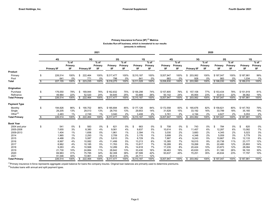### Primary Insurance In-Force (IIF)<sup>(1)</sup> Metrics Excludes Run-off business, which is immaterial to our results (amounts in millions)

|                      |                    |                   |                    |         | 2021              |           |                   |           |                   |           |                   |                                     | 2020              |           |                   |           |                   |
|----------------------|--------------------|-------------------|--------------------|---------|-------------------|-----------|-------------------|-----------|-------------------|-----------|-------------------|-------------------------------------|-------------------|-----------|-------------------|-----------|-------------------|
|                      | 4Q                 |                   |                    | 3Q      |                   | 2Q        |                   | 1Q        |                   | 4Q        |                   | 3Q                                  |                   | 2Q        |                   | 1Q        |                   |
|                      |                    | $%$ of<br>Primary |                    |         | $%$ of<br>Primary | Primary   | $%$ of<br>Primary | Primary   | $%$ of<br>Primary | Primary   | $%$ of<br>Primary |                                     | $%$ of<br>Primary | Primary   | $%$ of<br>Primary | Primary   | $%$ of<br>Primary |
| Product              | <b>Primary IIF</b> | IIF.              | <b>Primary IIF</b> |         | <b>IIF</b>        | IIF       | <b>IIF</b>        | IIF       | ШF                | ШF        | <b>IIF</b>        | <b>Primary IIF</b>                  | <b>IIF</b>        | ШF        | IIF.              | IIF       | ШF                |
| Primary              | \$<br>226,514      | 100%              | \$                 | 222,464 | 100%              | \$217,477 | 100%              | \$210,187 | 100%              | \$207,947 | 100%              | 203,062<br>\$                       | 100%              | \$197,047 | 100%              | \$187,981 | 99%               |
| Pool                 | 641                | 0%                |                    | 771     | 0%                | 798       | 0%                | 841       | 0%                | 883       | 0%                | 928                                 | 0%                | 983       | 0%                | 1,034     | 1%                |
| Total                | \$<br>227,155      | 100%              | \$                 | 223,235 | 100%              | \$218,275 | 100%              | \$211,028 | 100%              | \$208,830 | 100%              | \$<br>203,990                       | 100%              | \$198,030 | 100%              | \$189,015 | 100%              |
| Origination          |                    |                   |                    |         |                   |           |                   |           |                   |           |                   |                                     |                   |           |                   |           |                   |
| Purchase             | \$<br>176,550      | 78%               | \$                 | 169,944 | 76%               | \$162,832 | 75%               | \$156,298 | 74%               | \$157,805 | 76%               | 157,108<br>\$                       | 77%               | \$153,434 | 78%               | \$151,919 | 81%               |
| Refinance            | 49,964             | 22%               |                    | 52,520  | 24%               | 54,645    | 25%               | 53,889    | 26%               | 50,142    | 24%               | 45,954                              | 23%               | 43,613    | 22%               | 36,062    | 19%               |
| <b>Total Primary</b> | \$<br>226,514      | 100%              | 222,464<br>\$      |         | 100%              | \$217,477 | 100%              | \$210,187 | 100%              | \$207,947 | 100%              | 203,062<br>\$                       | 100%              | \$197,047 | 100%              | \$187,981 | 100%              |
| <b>Payment Type</b>  |                    |                   |                    |         |                   |           |                   |           |                   |           |                   |                                     |                   |           |                   |           |                   |
| Monthly              | \$<br>194,826      | 86%               | \$                 | 190,702 | 86%               | \$185,694 | 85%               | \$177,126 | 84%               | \$172,558 | 83%               | \$<br>165,676                       | 82%               | \$158,621 | 80%               | \$147,763 | 79%               |
| Single               | 29,205             | 13%               |                    | 29,013  | 13%               | 28,743    | 13%               | 29,653    | 14%               | 31,628    | 15%               | 33,192                              | 16%               | 33,799    | 18%               | 35,165    | 19%               |
| Other $(2)$          | 2,483              | 1%                |                    | 2,749   | 1%                | 3,040     | 2%                | 3,408     | 2%                | 3,761     | 2%                | 4,194                               | 2%                | 4,627     | 2%                | 5,053     | 2%                |
| <b>Total Primary</b> | \$<br>226,514      | 100%              | \$                 | 222,464 | 100%              | \$217,477 | 100%              | \$210,187 | 100%              | \$207,947 | 100%              | 203,062<br>\$                       | 100%              | \$197,047 | 100%              | \$187,981 | 100%              |
| <b>Book Year</b>     |                    |                   |                    |         |                   |           |                   |           |                   |           |                   |                                     |                   |           |                   |           |                   |
| 2004 and prior       | \$<br>541          | $0\%$             | -S                 | 583     | 0%                | \$<br>621 | 0%                | \$<br>663 | 0%                | 708<br>£. | 0%                | \$<br>743                           | $0\%$             | 784<br>\$ | 0%                | 820<br>£. | 0%                |
| 2005-2008            | 7,655              | 3%                |                    | 8,380   | 4%                | 9,061     | 4%                | 9,837     | 5%                | 10,614    | 5%                | 11,457                              | 6%                | 12,287    | 6%                | 13,082    | 7%                |
| 2009-2013            | 1,404              | 1%                |                    | 1,656   | 0%                | 1,961     | 1%                | 2,394     | 1%                | 3,030     | 2%                | 3,683                               | 2%                | 4,345     | 2%                | 5,023     | 3%                |
| 2014                 | 1,965              | 1%                |                    | 2,293   | 1%                | 2,709     | 2%                | 3.176     | 1%                | 3,699     | 2%                | 4,348                               | 2%                | 5,059     | 3%                | 5,779     | 3%                |
| 2015                 | 4,488              | 2%                |                    | 5,087   | 2%                | 5,810     | 3%                | 6,729     | 3%                | 7,887     | 4%                | 9,243                               | 5%                | 10,667    | 5%                | 12,133    | 6%                |
| 2016                 | 8,997              | 4%                |                    | 10,082  | 4%                | 11,499    | 5%                | 13,213    | 6%                | 15,385    | 7%                | 18,015                              | 9%                | 20,738    | 11%               | 23,177    | 12%               |
| 2017                 | 8,962              | 4%                |                    | 10,185  | 5%                | 11,763    | 5%                | 13,817    | 7%                | 16,289    | 8%                | 19,268                              | 9%                | 22,480    | 12%               | 25,893    | 14%               |
| 2018                 | 9,263              | 4%                |                    | 10,568  | 5%                | 12,289    | 6%                | 14,618    | 7%                | 17,235    | 8%                | 20,424                              | 10%               | 23,873    | 12%               | 28,084    | 15%               |
| 2019                 | 21,730             | 10%               |                    | 24,884  | 11%               | 28,842    | 13%               | 33,430    | 16%               | 39,463    | 19%               | 45,630                              | 22%               | 51,180    | 26%               | 56,193    | 30%               |
| 2020                 | 69,963             | 31%               |                    | 75,785  | 34%               | 82,308    | 38%               | 87,599    | 42%               | 93,637    | 45%               | 70,251                              | 35%               | 45,634    | 23%               | 17,797    | 10%               |
| 2021                 | 91,546             | 40%               |                    | 72,961  | 33%               | 50,614    | 23%               | 24,711    | 12%               |           |                   |                                     |                   |           |                   |           |                   |
| <b>Total Primary</b> | \$<br>226,514      | 100%              | \$                 | 222,464 | 100%              | \$217,477 | 100%              | \$210,187 | 100%              | \$207,947 | 100%              | 203,062<br>$\overline{\mathcal{E}}$ | 100%              | \$197,047 | 100%              | \$187,981 | 100%              |

<sup>(1)</sup>Primary insurance in-force represents aggregate unpaid balance for loans the company insures. Original loan balances are primarily used to determine premiums.

 $(2)$ Includes loans with annual and split payment types.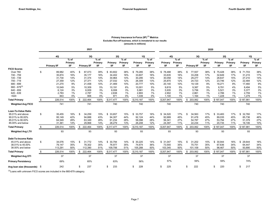### Primary Insurance In-Force (IIF)<sup>(1)</sup> Metrics Excludes Run-off business, which is immaterial to our results (amounts in millions)

|                             |      |                    |                          | 2021               |                                 |                       |                           |                |                                 |                |                          |                    | 2020                     |                       |                          |                       |                         |
|-----------------------------|------|--------------------|--------------------------|--------------------|---------------------------------|-----------------------|---------------------------|----------------|---------------------------------|----------------|--------------------------|--------------------|--------------------------|-----------------------|--------------------------|-----------------------|-------------------------|
|                             |      | 4Q                 |                          | 3Q                 |                                 | 2Q                    |                           | 1Q             |                                 | 4Q             |                          | 3Q                 |                          | <b>2Q</b>             |                          | <b>1Q</b>             |                         |
|                             |      | <b>Primary IIF</b> | $%$ of<br>Primary<br>IIF | <b>Primary IIF</b> | $%$ of<br>Primary<br><b>IIF</b> | Primary<br><b>IIF</b> | $%$ of<br>Primary<br>IIF. | Primary<br>IIF | $%$ of<br>Primary<br><b>IIF</b> | Primary<br>IIF | $%$ of<br>Primary<br>IIF | <b>Primary IIF</b> | $%$ of<br>Primary<br>IIF | Primary<br><b>IIF</b> | $%$ of<br>Primary<br>IIF | Primary<br><b>IIF</b> | $%$ of<br>Primary<br>ШF |
| <b>FICO Scores</b>          |      |                    |                          |                    |                                 |                       |                           |                |                                 |                |                          |                    |                          |                       |                          |                       |                         |
| Over 760                    | \$   | 89,982             | 40%                      | \$<br>87,073       | 39%                             | 83,602<br>\$          | 38%                       | 79,285<br>\$   | 38%                             | \$78,488       | 38%                      | 77,557<br>- \$     | 38%                      | 75,428<br>\$          | 38%                      | 71,703<br>\$          | 38%                     |
| 740 - 759                   |      | 35,874             | 16%                      | 35,177             | 16%                             | 34,402                | 16%                       | 33,607         | 16%                             | 33,635         | 16%                      | 33,208             | 17%                      | 32,649                | 17%                      | 31,215                | 17%                     |
| 720 - 739                   |      | 31,730             | 14%                      | 31,374             | 14%                             | 30,964                | 14%                       | 30,295         | 14%                             | 30,058         | 14%                      | 29,277             | 14%                      | 28,637                | 15%                      | 27,210                | 14%                     |
| 700 - 719                   |      | 27,359             | 12%                      | 27,371             | 12%                             | 27,032                | 12%                       | 26,309         | 13%                             | 25,870         | 12%                      | 24,723             | 12%                      | 23,746                | 12%                      | 22,484                | 12%                     |
| 680 - 699                   |      | 21,270             | 9%                       | 21,458             | 10%                             | 21,469                | 10%                       | 20,777         | 10%                             | 20,140         | 10%                      | 19,129             | 9%                       | 18,271                | 9%                       | 17,460                | 9%                      |
| $660 - 679^{(3)}$           |      | 10,549             | 5%                       | 10,309             | 5%                              | 10,191                | 6%                        | 10,001         | 5%                              | 9,819          | 5%                       | 9,387              | 5%                       | 8,781                 | 4%                       | 8,494                 | 5%                      |
| 640 - 659                   |      | 6,124              | 3%                       | 6,009              | 3%                              | 6,008                 | 3%                        | 5.981          | 3%                              | 5,935          | 3%                       | 5.756              | 3%                       | 5,521                 | 3%                       | 5,377                 | 3%                      |
| 620 - 639                   |      | 2,783              | 1%                       | 2,787              | 1%                              | 2.838                 | 1%                        | 2,893          | 1%                              | 2,902          | 1%                       | 2.861              | 1%                       | 2,786                 | $1\%$                    | 2,759                 | 1%                      |
| < 620                       |      | 843                | 0%                       | 906                | 0%                              | 971                   | 0%                        | 1,039          | 0%                              | 1,100          | 1%                       | 1.164              | 1%                       | 1,228                 | 1%                       | 1,279                 | 1%                      |
| <b>Total Primary</b>        |      | 226,514            | 100%                     | \$<br>222,464      | 100%                            | \$217,477             | 100%                      | \$210,187      | 100%                            | \$207,947      | 100%                     | \$203,062          | 100%                     | \$197,047             | 100%                     | \$187,981             | 100%                    |
| <b>Weighted Avg FICO</b>    |      | 741                |                          | 741                |                                 | 740                   |                           | 740            |                                 | 740            |                          | 740                |                          | 740                   |                          | 740                   |                         |
| <b>Loan-To-Value Ratio</b>  |      |                    |                          |                    |                                 |                       |                           |                |                                 |                |                          |                    |                          |                       |                          |                       |                         |
| 95.01% and above            | \$   | 35,455             | 16%                      | \$<br>34,259       | 15%                             | \$<br>33.657          | 15%                       | 33,757<br>\$   | 16%                             | \$34.520       | 17%                      | \$<br>34.563       | 17%                      | 33.483<br>\$          | 17%                      | \$32,760              | 17%                     |
| 90.01% to 95.00%            |      | 95,149             | 42%                      | 94,888             | 43%                             | 94,307                | 44%                       | 92,124         | 44%                             | 92.689         | 45%                      | 91,478             | 45%                      | 89,035                | 45%                      | 85,736                | 46%                     |
| 85.01% to 90.00%            |      | 64,549             | 28%                      | 63,349             | 28%                             | 61,234                | 28%                       | 58,098         | 28%                             | 56,341         | 27%                      | 54,787             | 27%                      | 53,794                | 27%                      | 51,379                | 27%                     |
| 85.00% and below            |      | 31,361             | 14%                      | 29,968             | 14%                             | 28,279                | 13%                       | 26,208         | 12%                             | 24,397         | 11%                      | 22,234             | 11%                      | 20,735                | 11%                      | 18,106                | 10%                     |
| <b>Total Primary</b>        |      | 226,514            | 100%                     | \$<br>222,464      | 100%                            | \$217,477             | 100%                      | \$210,187      | 100%                            | \$207,947      | 100%                     | 203,062<br>\$      | 100%                     | \$197,047             | 100%                     | \$187,981             | 100%                    |
| <b>Weighted Avg LTV</b>     |      | 93                 |                          | 93                 |                                 | 93                    |                           | 93             |                                 | 93             |                          | 93                 |                          | 93                    |                          | 93                    |                         |
| <b>Debt-To-Income Ratio</b> |      |                    |                          |                    |                                 |                       |                           |                |                                 |                |                          |                    |                          |                       |                          |                       |                         |
| 45.01% and above            | \$   | 34,076             | 15%                      | \$<br>31,772       | 14%                             | \$ 30,794             | 14%                       | \$30,225       | 14%                             | \$31,047       | 15%                      | \$<br>31,202       | 15%                      | \$30,944              | 16%                      | \$29,644              | 16%                     |
| 38.01% to 45.00%            |      | 79,147             | 35%                      | 78,302             | 35%                             | 76,977                | 35%                       | 74,674         | 36%                             | 73,555         | 35%                      | 70,751             | 35%                      | 67,636                | 34%                      | 64,447                | 34%                     |
| 38.00% and below            |      | 113,291            | 50%                      | 112,390            | 51%                             | 109,706               | 51%                       | 105,288        | 50%                             | 103,345        | 50%                      | 101.109            | 50%                      | 98,467                | 50%                      | 93,890                | 50%                     |
| <b>Total Primary</b>        | \$   | 226,514            | 100%                     | \$<br>222,464      | 100%                            | \$217,477             | 100%                      | \$210,187      | 100%                            | \$207,947      | 100%                     | \$203,062          | 100%                     | \$197,047             | 100%                     | \$187,981             | 100%                    |
| <b>Weighted Avg DTI</b>     |      | 37                 |                          | 37                 |                                 | 37                    |                           | 37             |                                 | 37             |                          | 37                 |                          | 37                    |                          | 37                    |                         |
| <b>Primary Persistency</b>  |      | 69%                |                          | 65%                |                                 | 63%                   |                           | 56%            |                                 | 57%            |                          | 59%                |                          | 59%                   |                          | 74%                   |                         |
| Avg loan size (thousands)   | - \$ | 242                |                          | \$<br>237          |                                 | 233<br>\$             |                           | 228<br>\$      |                                 | 225<br>\$      |                          | 222<br>\$          |                          | 220<br>\$             |                          | 217<br>\$             |                         |

 $^{(3)}$ Loans with unknown FICO scores are included in the 660-679 category.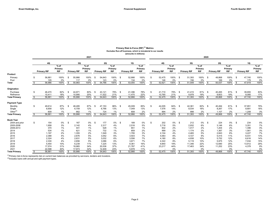#### Primary Risk In-Force (RIF)<sup>(1)</sup> Metrics Excludes Run-off business, which is immaterial to our results (amounts in millions)

|                      | 2021 |                    |                       |                          |                    |                       |                         |                    |                       |                          |                    |                       |     |                    |                       |                         | 2020               |                       |                         |                    |                       |                           |                    |                       |
|----------------------|------|--------------------|-----------------------|--------------------------|--------------------|-----------------------|-------------------------|--------------------|-----------------------|--------------------------|--------------------|-----------------------|-----|--------------------|-----------------------|-------------------------|--------------------|-----------------------|-------------------------|--------------------|-----------------------|---------------------------|--------------------|-----------------------|
|                      |      | 4Q                 |                       |                          | 3Q                 |                       |                         | <b>2Q</b>          |                       |                          | 1Q                 |                       |     | 4Q                 |                       |                         | 3Q                 |                       |                         | 2Q                 |                       |                           | 1Q                 |                       |
|                      |      |                    | $%$ of                |                          |                    | $%$ of                |                         |                    | $%$ of                |                          |                    | $%$ of                |     |                    | $%$ of                |                         |                    | $%$ of                |                         |                    | $%$ of                |                           |                    | $%$ of                |
|                      |      | <b>Primary RIF</b> | Primary<br><b>RIF</b> |                          | <b>Primary RIF</b> | Primary<br><b>RIF</b> |                         | <b>Primary RIF</b> | Primary<br><b>RIF</b> |                          | <b>Primary RIF</b> | Primary<br><b>RIF</b> |     | <b>Primary RIF</b> | Primary<br><b>RIF</b> |                         | <b>Primary RIF</b> | Primary<br><b>RIF</b> |                         | <b>Primary RIF</b> | Primary<br><b>RIF</b> |                           | <b>Primary RIF</b> | Primary<br><b>RIF</b> |
| Product              |      |                    |                       |                          |                    |                       |                         |                    |                       |                          |                    |                       |     |                    |                       |                         |                    |                       |                         |                    |                       |                           |                    |                       |
| Primary              | \$   | 56,881             | 100%                  | -\$                      | 55,866             | 100%                  | -\$                     | 54,643             | 100% \$               |                          | 52,866             | 100%                  | \$  | 52,475             | 100%                  | -\$                     | 51,393             | 100%                  | - \$                    | 49,868             | 100%                  | <b>S</b>                  | 47,740             | 100%                  |
| Pool                 |      | 105                | 0%                    |                          | 117                | 0%                    |                         | 123                | 0%                    |                          | 134                | 0%                    |     | 146                | $0\%$                 |                         | 156                | 0%                    |                         | 169                | 0%                    |                           | 179                | 0%                    |
| Total                |      | 56,986             | 100%                  | \$                       | 55,983             | 100%                  | \$                      | 54.766             | 100%                  | -\$                      | 53,000             | 100%                  | \$. | 52.621             | 100%                  | \$                      | 51,549             | 100%                  | <b>S</b>                | 50.037             | 100%                  | Ŝ.                        | 47,919             | 100%                  |
| Origination          |      |                    |                       |                          |                    |                       |                         |                    |                       |                          |                    |                       |     |                    |                       |                         |                    |                       |                         |                    |                       |                           |                    |                       |
| Purchase             | \$   | 46,470             | 82%                   | -9                       | 44,871             | 80%                   | \$                      | 43,121             | 79%                   | - \$                     | 41,396             | 78%                   | \$  | 41,710             | 79%                   | \$                      | 41,415             | 81%                   | \$                      | 40,265             | 81%                   | - \$                      | 39,655             | 83%                   |
| Refinance            |      | 10.411             | 18%                   |                          | 10.995             | 20%                   |                         | 11.522             | 21%                   |                          | 11.470             | 22%                   |     | 10.765             | 21%                   |                         | 9.978              | 19%                   |                         | 9.603              | 19%                   |                           | 8.085              | 17%                   |
| <b>Total Primary</b> |      | 56,881             | 100%                  | $\overline{\mathcal{S}}$ | 55,866             | 100%                  | $\overline{\mathbf{s}}$ | 54,643             | 100%                  | $\overline{\mathcal{S}}$ | 52,866             | 100%                  | \$  | 52,475             | 100%                  | $\overline{\mathbf{s}}$ | 51,393             | 100%                  | $\overline{\mathbf{s}}$ | 49,868             | 100%                  | $\overline{\mathbf{s}}$   | 47,740             | 100%                  |
| <b>Payment Type</b>  |      |                    |                       |                          |                    |                       |                         |                    |                       |                          |                    |                       |     |                    |                       |                         |                    |                       |                         |                    |                       |                           |                    |                       |
| Monthly              | \$   | 49,614             | 87%                   | -9                       | 48,495             | 87%                   | \$                      | 47,153             | 86%                   | - \$                     | 45,009             | 85%                   | \$  | 44,005             | 84%                   | \$                      | 42,361             | 82%                   | -\$                     | 40,494             | 81%                   | - \$                      | 37,851             | 79%                   |
| Single               |      | 6,658              | 12%                   |                          | 6,709              | 12%                   |                         | 6.766              | 13%                   |                          | 7,049              | 13%                   |     | 7.576              | 14%                   |                         | 8.034              | 16%                   |                         | 8,267              | 17%                   |                           | 8,681              | 18%                   |
| Other $(2)$          |      | 609                | 1%                    |                          | 662                | 1%                    |                         | 724                | 1%                    |                          | 808                | 2%                    |     | 894                | 2%                    |                         | 998                | 2%                    |                         | 1.107              | 2%                    |                           | 1.208              | 3%                    |
| <b>Total Primary</b> | \$   | 56,881             | 100%                  | \$                       | 55,866             | 100%                  | - \$                    | 54,643             | 100%                  | \$                       | 52,866             | 100%                  | S.  | 52,475             | 100%                  | \$                      | 51,393             | 100%                  | $\overline{\mathbf{s}}$ | 49,868             | 100%                  | $\overline{\mathfrak{s}}$ | 47,740             | 100%                  |
| <b>Book Year</b>     |      |                    |                       |                          |                    |                       |                         |                    |                       |                          |                    |                       |     |                    |                       |                         |                    |                       |                         |                    |                       |                           |                    |                       |
| 2004 and prior       | \$   | 154                | 0%                    | -\$                      | 167                | $0\%$                 | \$                      | 177                | 0%                    | \$                       | 189                | 0%                    | \$  | 202                | 0%                    | -\$                     | 212                | 0%                    | -\$                     | 224                | 0%                    | - \$                      | 234                | 0%                    |
| 2005-2008            |      | 1,958              | 3%                    |                          | 2,142              | 4%                    |                         | 2,317              | 4%                    |                          | 2,516              | 5%                    |     | 2,716              | 5%                    |                         | 2,932              | 6%                    |                         | 3,146              | 6%                    |                           | 3,351              | 7%                    |
| 2009-2013            |      | 370                | 1%                    |                          | 441                | 1%                    |                         | 528                | 1%                    |                          | 651                | 1%                    |     | 832                | 2%                    |                         | 1,017              | 2%                    |                         | 1,204              | 2%                    |                           | 1,396              | 3%                    |
| 2014                 |      | 534                | 1%                    |                          | 621                | 1%                    |                         | 732                | 1%                    |                          | 859                | 2%                    |     | 999                | 2%                    |                         | 1.174              | 2%                    |                         | 1,367              | 3%                    |                           | 1,561              | 3%                    |
| 2015                 |      | 1.197              | 2%                    |                          | 1.355              | 2%                    |                         | 1,549              | 3%                    |                          | 1.795              | 3%                    |     | 2,104              | 4%                    |                         | 2.465              | 5%                    |                         | 2.843              | 6%                    |                           | 3,227              | 7%                    |
| 2016                 |      | 2,388              | 4%                    |                          | 2,676              | 5%                    |                         | 3,052              | 6%                    |                          | 3,503              | 7%                    |     | 4,063              | 8%                    |                         | 4.727              | 9%                    |                         | 5,415              | 11%                   |                           | 6,031              | 13%                   |
| 2017                 |      | 2,324              | 4%                    |                          | 2,631              | 5%                    |                         | 3,032              | 6%                    |                          | 3,556              | 7%                    |     | 4,180              | 8%                    |                         | 4,938              | 10%                   |                         | 5,752              | 12%                   |                           | 6,616              | 14%                   |
| 2018                 |      | 2,330              | 4%                    |                          | 2,656              | 5%                    |                         | 3,086              | 6%                    |                          | 3,671              | 7%                    |     | 4,322              | 8%                    |                         | 5,119              | 10%                   |                         | 5,975              | 12%                   |                           | 7,034              | 15%                   |
| 2019                 |      | 5.454              | 10%                   |                          | 6.239              | 11%                   |                         | 7,225              | 13%                   |                          | 8,361              | 16%                   |     | 9.840              | 19%                   |                         | 11,346             | 22%                   |                         | 12,690             | 25%                   |                           | 13,912             | 29%                   |
| 2020                 |      | 17,574             | 31%                   |                          | 18,965             | 34%                   |                         | 20,536             | 37%                   |                          | 21,787             | 41%                   |     | 23,217             | 44%                   |                         | 17,463             | 34%                   |                         | 11,252             | 23%                   |                           | 4,378              | 9%                    |
| 2021                 |      | 22,598             | 40%                   |                          | 17,973             | 32%                   |                         | 12,409             | 23%                   |                          | 5,978              | 11%                   |     |                    | 0%                    |                         |                    | 0%                    |                         |                    | 0%                    |                           |                    | 0%                    |
| <b>Total Primary</b> | \$   | 56,881             | 100%                  | -9                       | 55,866             | 100%                  | - \$                    | 54,643             | 100%                  | \$                       | 52,866             | 100%                  |     | 52,475             | 100%                  | \$                      | 51,393             | 100%                  | -\$                     | 49,868             | 100%                  | \$                        | 47,740             | 100%                  |

 $^{(1)}$ Primary risk in-force represents risk on current loan balances as provided by servicers, lenders and investors.

 $<sup>(2)</sup>$ Includes loans with annual and split payment types.</sup>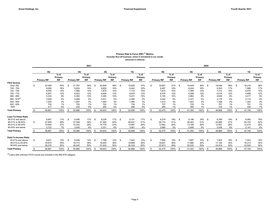### Primary Risk In-Force (RIF)<sup>(1)</sup> Metrics Excludes Run-off business, which is immaterial to our results (amounts in millions)

|                                                                                                                                            |    |                                                                            |                                                        |               |                                                                            | 2021                                                    |      |                                                                            |                                                            |          |                                                                            |                                                            |                                                                                  |                                                            |     |                                                                            |                                                        | 2020     |                                                                            |                                                        |      |                                                                            |                                                              |
|--------------------------------------------------------------------------------------------------------------------------------------------|----|----------------------------------------------------------------------------|--------------------------------------------------------|---------------|----------------------------------------------------------------------------|---------------------------------------------------------|------|----------------------------------------------------------------------------|------------------------------------------------------------|----------|----------------------------------------------------------------------------|------------------------------------------------------------|----------------------------------------------------------------------------------|------------------------------------------------------------|-----|----------------------------------------------------------------------------|--------------------------------------------------------|----------|----------------------------------------------------------------------------|--------------------------------------------------------|------|----------------------------------------------------------------------------|--------------------------------------------------------------|
|                                                                                                                                            |    | 4Q<br><b>Primary RIF</b>                                                   | $%$ of<br>Primary<br><b>RIF</b>                        |               | 3Q<br><b>Primary RIF</b>                                                   | $%$ of<br>Primary<br>RIF                                |      | <b>2Q</b><br><b>Primary RIF</b>                                            | $%$ of<br>Primary<br>RIF                                   |          | 1Q<br><b>Primary RIF</b>                                                   | $%$ of<br>Primary<br><b>RIF</b>                            | 4Q<br><b>Primary RIF</b>                                                         | $%$ of<br>Primary<br><b>RIF</b>                            |     | 3Q<br><b>Primary RIF</b>                                                   | $%$ of<br>Primary<br><b>RIF</b>                        |          | 2Q<br><b>Primary RIF</b>                                                   | $%$ of<br>Primary<br><b>RIF</b>                        |      | 1Q<br><b>Primary RIF</b>                                                   | % of<br>Primary<br><b>RIF</b>                                |
| <b>FICO Scores</b><br>Over 760<br>740 - 759<br>720 - 739<br>700 - 719<br>680 - 699<br>$660 - 679^{(3)}$<br>640 - 659<br>620 - 639<br>< 620 | \$ | 22,489<br>9.009<br>8,055<br>6,907<br>5,334<br>2,638<br>1,530<br>702<br>217 | 40%<br>16%<br>14%<br>12%<br>9%<br>5%<br>3%<br>1%<br>0% | . ፍ           | 21,767<br>8.824<br>7,966<br>6,923<br>5,383<br>2,568<br>1.497<br>705<br>233 | 39%<br>16%<br>14%<br>12%<br>10%<br>5%<br>3%<br>1%<br>0% | - \$ | 20,908<br>8.628<br>7,879<br>6.848<br>5,385<br>2,531<br>1,494<br>720<br>250 | 38%<br>16%<br>14%<br>13%<br>10%<br>5%<br>3%<br>$1\%$<br>0% | \$       | 19,829<br>8,442<br>7,715<br>6,678<br>5,231<br>2,484<br>1,485<br>734<br>268 | 37%<br>16%<br>15%<br>13%<br>10%<br>5%<br>3%<br>$1\%$<br>0% | \$<br>19,691<br>8.497<br>7,673<br>6,579<br>5,100<br>2,442<br>1.472<br>737<br>284 | 37%<br>16%<br>15%<br>12%<br>10%<br>5%<br>3%<br>$1\%$<br>1% | \$  | 19,549<br>8.424<br>7,489<br>6.288<br>4.864<br>2,331<br>1,423<br>725<br>300 | 38%<br>16%<br>15%<br>12%<br>9%<br>5%<br>3%<br>1%<br>1% | \$       | 19,046<br>8,303<br>7,312<br>6,016<br>4,629<br>2,179<br>1,358<br>707<br>318 | 38%<br>17%<br>15%<br>12%<br>9%<br>4%<br>3%<br>1%<br>1% | - \$ | 18,216<br>7.986<br>6,970<br>5,688<br>4.417<br>2,110<br>1,322<br>701<br>330 | 38%<br>17%<br>15%<br>12%<br>9%<br>4%<br>3%<br>$1\%$<br>$1\%$ |
| <b>Total Primary</b>                                                                                                                       |    | 56,881                                                                     | 100%                                                   | <sup>\$</sup> | 55,866                                                                     | 100%                                                    | -\$  | 54,643                                                                     | 100%                                                       | -\$      | 52,866                                                                     | 100%                                                       | 52,475                                                                           | 100%                                                       | \$  | 51,393                                                                     | 100%                                                   | \$       | 49,868                                                                     | 100%                                                   | - \$ | 47,740                                                                     | 100%                                                         |
| Loan-To-Value Ratio<br>95.01% and above<br>90.01% to 95.00%<br>85.01% to 90.00%<br>85,00% and below                                        | \$ | 9,907<br>27,608<br>15,644<br>3.722                                         | 17%<br>49%<br>27%<br>7%                                | - \$          | 9,490<br>27,509<br>15,322<br>3,545                                         | 17%<br>49%<br>28%<br>6%                                 | - \$ | 9,228<br>27,308<br>14,776<br>3,331                                         | 17% \$<br>50%<br>27%<br>6%                                 |          | 9,151<br>26,637<br>13,997<br>3,081                                         | 17%<br>51%<br>26%<br>6%                                    | \$<br>9,279<br>26,774<br>13,562<br>2,860                                         | 18% \$<br>51%<br>26%<br>5%                                 |     | 9,196<br>26,403<br>13,188<br>2.606                                         | 18%<br>51%<br>26%<br>5%                                | - \$     | 8,789<br>25,686<br>12,957<br>2,436                                         | 18%<br>51%<br>26%<br>5%                                | - \$ | 8,482<br>24,703<br>12,414<br>2,141                                         | 18%<br>52%<br>26%<br>4%                                      |
| <b>Total Primary</b>                                                                                                                       | .ድ | 56,881                                                                     | 100%                                                   | <sup>\$</sup> | 55,866                                                                     | 100%                                                    | - \$ | 54,643                                                                     | 100%                                                       | -\$      | 52,866                                                                     | 100%                                                       | 52,475                                                                           | 100%                                                       | \$  | 51,393                                                                     | 100%                                                   | <b>S</b> | 49,868                                                                     | 100%                                                   | \$   | 47,740                                                                     | 100%                                                         |
| Debt-To-Income Ratio<br>45.01% and above<br>38.01% to 45.00%<br>38,00% and below                                                           | -S | 8.631<br>19,974<br>28,276                                                  | 15%<br>35%<br>50%                                      | - \$          | 8.048<br>19,773<br>28,045                                                  | 14%<br>36%<br>50%                                       | - \$ | 7.798<br>19,445<br>27,400                                                  | 14%<br>36%<br>50%                                          | <b>S</b> | 7,643<br>18,888<br>26,335                                                  | 14%<br>36%<br>50%                                          | \$<br>7.855<br>18,647<br>25,973                                                  | 15% \$<br>36%<br>49%                                       |     | 7.897<br>17,966<br>25,530                                                  | 15%<br>35%<br>50%                                      | - \$     | 7,823<br>17,126<br>24,919                                                  | 16%<br>34%<br>50%                                      | - \$ | 7,503<br>16,313<br>23,924                                                  | 16%<br>34%<br>50%                                            |
| <b>Total Primary</b>                                                                                                                       |    | 56,881                                                                     | 100%                                                   |               | 55,866                                                                     | 100%                                                    | - 35 | 54.643                                                                     | 100%                                                       |          | 52.866                                                                     | 100%                                                       | 52.475                                                                           | 100%                                                       | -\$ | 51,393                                                                     | 100%                                                   | - \$     | 49.868                                                                     | 100%                                                   | - \$ | 47.740                                                                     | 100%                                                         |

 $^{(3)}$ Loans with unknown FICO scores are included in the 660-679 category.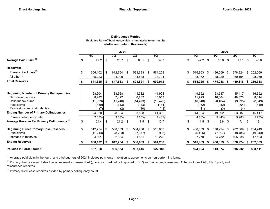## Delinquency Metrics (dollar amounts in thousands) Excludes Run-off business, which is immaterial to our results

|                                                  |               |    | 2021     |    |           |      |           |    |           |      | 2020       |      |           |    |           |
|--------------------------------------------------|---------------|----|----------|----|-----------|------|-----------|----|-----------|------|------------|------|-----------|----|-----------|
|                                                  | 4Q            |    | 3Q       |    | 2Q        |      | 1Q        |    | 4Q        |      | 3Q         |      | 2Q        |    | 1Q        |
| Average Paid Claim <sup>(1)</sup>                | \$<br>27.2    | \$ | 26.7     | \$ | 63.1      | \$   | 54.7      | \$ | 47.2 \$   |      | 55.6       | -\$  | 47.1      | S  | 45.0      |
| <b>Reserves:</b>                                 |               |    |          |    |           |      |           |    |           |      |            |      |           |    |           |
| Primary direct case <sup>(2)</sup>               | \$<br>606,102 | \$ | 612,754  | \$ | 588,683   | \$   | 564,208   | \$ | 516,863   | - \$ | 436,059    | - \$ | 378,924   | S  | 202,069   |
| All other <sup>(2)</sup>                         | 35,223        |    | 34,909   |    | 34,838    |      | 38,704    |    | 38,162    |      | 38,229     |      | 60,194    |    | 28,269    |
| <b>Total Reserves</b>                            | 641,325       |    | 647,663  |    | 623,521   | S    | 602,912   |    | 555,025   | - \$ | 474,288    | 5    | 439,118   |    | 230,338   |
|                                                  |               |    |          |    |           |      |           |    |           |      |            |      |           |    |           |
| <b>Beginning Number of Primary Delinquencies</b> | 28,904        |    | 33,568   |    | 41,332    |      | 44,904    |    | 49,692    |      | 53,587     |      | 15,417    |    | 16,392    |
| New delinguencies                                | 8,282         |    | 7,427    |    | 6,862     |      | 10,053    |    | 11,923    |      | 16,664     |      | 48,373    |    | 8,114     |
| Delinquency cures                                | (11, 929)     |    | (11,746) |    | (14, 473) |      | (13, 478) |    | (16, 548) |      | (20, 404)  |      | (9,795)   |    | (8,649)   |
| Paid claims                                      | (430)         |    | (343)    |    | (143)     |      | (134)     |    | (152)     |      | (152)      |      | (404)     |    | (440)     |
| Rescissions and claim denials                    | (7)           |    | (2)      |    | (10)      |      | (13)      |    | (11)      |      | (3)        |      | (4)       |    |           |
| <b>Ending Number of Primary Delinquencies</b>    | 24,820        |    | 28,904   |    | 33,568    |      | 41,332    |    | 44,904    |      | 49,692     |      | 53,587    |    | 15,417    |
| Primary delinquency rate                         | 2.65%         |    | 3.08%    |    | 3.60%     |      | 4.48%     |    | 4.86%     |      | 5.44%      |      | 5.98%     |    | 1.78%     |
| Average Reserve Per Primary Delinquency (3)      | \$<br>24.4    | \$ | 21.2     | \$ | 17.5      | \$   | 13.7      | \$ | 11.5      | - \$ | 8.8        | \$   | 7.1       | \$ | 13.1      |
| <b>Beginning Direct Primary Case Reserves</b>    | \$<br>612,754 | \$ | 588,683  | \$ | 564,208   | \$   | 516,863   | \$ | 436,059   | -\$  | 378,924 \$ |      | 202,069   | \$ | 204,749   |
| Paid claims                                      | (11, 213)     |    | (8, 293) |    | (7, 377)  |      | (5,933)   |    | (6, 466)  |      | (7, 597)   |      | (18, 483) |    | (19, 843) |
| Increase in reserves                             | 4,561         |    | 32,364   |    | 31,851    |      | 53,278    |    | 87,270    |      | 64,732     |      | 195,338   |    | 17,163    |
| <b>Ending Reserves</b>                           | 606,102       | S  | 612,754  | S  | 588,683   | - 56 | 564,208   |    | 516,863   | - \$ | 436,059    | - 56 | 378,924   | Ж. | 202,069   |
| <b>Policies in Force (count)</b>                 | 937,350       |    | 936,934  |    | 933,616   |      | 922,186   |    | 924,624   |      | 913,974    |      | 896,232   |    | 868,111   |

 $(1)$  Average paid claim in the fourth and third quarters of 2021 includes payments in relation to agreements on non-performing loans.

<sup>(2)</sup> Primary direct case excludes loss adjustment expenses (LAE), pool, incurred but not reported (IBNR) and reinsurance reserves. Other includes LAE, IBNR, pool, and reinsurance reserves.

 $(3)$  Primary direct case reserves divided by primary delinquency count.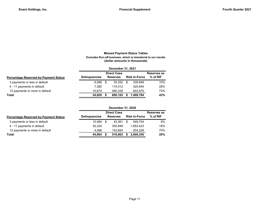# Missed Payment Status Tables (dollar amounts in thousands) Excludes Run-off business, which is immaterial to our results

|                      |     |         |                                       |           | Reserves as                               |
|----------------------|-----|---------|---------------------------------------|-----------|-------------------------------------------|
| <b>Delinguencies</b> |     |         |                                       |           | $%$ of RIF                                |
| 6.586                | \$. | 35.352  | S                                     | 339.846   | 10%                                       |
| 7.360                |     | 110.412 |                                       | 425.944   | 26%                                       |
| 10.874               |     | 460.339 |                                       | 642.975   | 72%                                       |
| 24.820               |     | 606.102 |                                       | 1.408.764 | 43%                                       |
|                      |     |         | <b>Direct Case</b><br><b>Reserves</b> |           | December 31, 2021<br><b>Risk In-Force</b> |

|                                              |                      |      | <b>Direct Case</b> |                      | Reserves as |
|----------------------------------------------|----------------------|------|--------------------|----------------------|-------------|
| <b>Percentage Reserved by Payment Status</b> | <b>Delinguencies</b> |      | <b>Reserves</b>    | <b>Risk In-Force</b> | $%$ of RIF  |
| 3 payments or less in default                | 10.484               | - \$ | 43.361             | 548.704              | 8%          |
| 4 - 11 payments in default                   | 30.324               |      | 330.848            | 1.853.423            | 18%         |
| 12 payments or more in default               | 4.096                |      | 142.654            | 204.228              | 70%         |
| Total                                        | 44.904               |      | 516,863            | 2.606.355            | 20%         |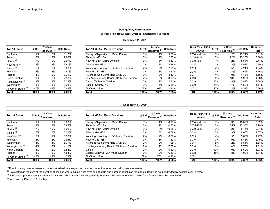### Delinquency Performance

Excludes Run-off business, which is immaterial to our results

### December 31, 2021

| <b>Top 10 States</b>            | % RIF | % Case<br>Reserves <sup>(1)</sup> | Delg Rate | Top 10 MSAs / Metro Divisions             | % RIF | % Case<br>Reserves <sup>(1)</sup> | Dela Rate | Book Year RIF & % RIF<br><b>Losses</b> |       | % Case<br>Reserves <sup>(1)</sup> | Delg Rate | Cum Dela<br>Rate <sup>(2)</sup> |
|---------------------------------|-------|-----------------------------------|-----------|-------------------------------------------|-------|-----------------------------------|-----------|----------------------------------------|-------|-----------------------------------|-----------|---------------------------------|
| California                      | 11%   | 12%                               | 3.17%     | Chicago-Naperville, IL Metro Division     | 3%    | 4%                                | 3.68%     | 2004 and prior                         | $0\%$ | 2%                                | 13.24%    | 3.61%                           |
| Texas                           | 8%    | 8%                                | 2.89%     | Phoenix. AZ MSA                           | 3%    | 2%                                | 2.36%     | 2005-2008                              | 3%    | 22%                               | 10.23%    | 18.36%                          |
| Florida $(3)$                   | 7%    | 9%                                | 2.97%     | New York, NY Metro Division               | 3%    | 8%                                | 5.32%     | 2009-2013                              | 1%    | 2%                                | 5.54%     | 0.74%                           |
| New York <sup>(3)</sup>         | 5%    | 12%                               | 3.80%     | Atlanta, GA MSA                           | 2%    | 3%                                | 3.28%     | 2014                                   | 1%    | 3%                                | 5.51%     | 0.99%                           |
| Illinois $(3)$                  | 5%    | 6%                                | 3.09%     | Washington-Arlington, DC Metro Division   | 2%    | 2%                                | 2.96%     | 2015                                   | 2%    | 5%                                | 4.24%     | 1.04%                           |
| Michigan                        | 4%    | 2%                                | 1.87%     | Houston, TX MSA                           | 2%    | 3%                                | 3.61%     | 2016                                   | 4%    | 8%                                | 3.69%     | 1.16%                           |
| Arizona                         | 4%    | 2%                                | 2.31%     | Riverside-San Bernardino CA MSA           | 2%    | 2%                                | 3.42%     | 2017                                   | 4%    | 10%                               | 4.78%     | 1.56%                           |
| North Carolina                  | 3%    | 2%                                | 2.18%     | Los Angeles-Long Beach, CA Metro Division | 2%    | 3%                                | 3.95%     | 2018                                   | 4%    | 13%                               | 5.93%     | 1.88%                           |
| Pennsylvania <sup>(3)</sup>     | 3%    | 3%                                | 2.38%     | Dallas, TX Metro Division                 | 2%    | 2%                                | 2.31%     | 2019                                   | 10%   | 19%                               | 3.89%     | 1.68%                           |
| Washington                      | 3%    | 3%                                | 2.98%     | Nassau County, NY                         | 2%    | 4%                                | 5.55%     | 2020                                   | 31%   | 14%                               | 1.50%     | 1.14%                           |
| All Other States <sup>(4)</sup> | 47%   | 41%                               | 2.46%     | All Other MSAs                            | 77%   | 67%                               | 2.44%     | 2021                                   | 40%   | 2%                                | 0.37%     | 0.36%                           |
| Total                           | 100%  | 100%                              | 2.65%     | Total                                     | 100%  | 100%                              | 2.65%     | Total                                  | 100%  | 100%                              | 2.65%     | 4.42%                           |

### December 31, 2020

| <b>Top 10 States</b>            | % Case<br>% RIF<br>Reserves <sup>(1)</sup> |      | Delg Rate | Top 10 MSAs / Metro Divisions             | % RIF | % Case<br>" Reserves <sup>(1)</sup> Delq Rate |        |       | Book Year RIF & <sub>%</sub> RIF<br><b>Losses</b> |      | % Case<br>Reserves <sup>(1)</sup> | Delg Rate | Cum Dela<br>Rate <sup>(2)</sup> |
|---------------------------------|--------------------------------------------|------|-----------|-------------------------------------------|-------|-----------------------------------------------|--------|-------|---------------------------------------------------|------|-----------------------------------|-----------|---------------------------------|
| California                      | 11%                                        | 11%  | 6.20%     | Chicago-Naperville, IL Metro Division     | 3%    | 4%                                            | 6.36%  |       | 2004 and prior                                    | 0%   | 3%                                | 16.82%    | 3.62%                           |
| Texas                           | 8%                                         | 8%   | 5.82%     | Phoenix. AZ MSA                           | 3%    | 2%                                            | 4.63%  |       | 2005-2008                                         | 5%   | 25%                               | 13.35%    | 18.79%                          |
| Florida <sup>(3)</sup>          | 7%                                         | 10%  | 6.92%     | New York, NY Metro Division               | 3%    | 8%                                            | 10.25% |       | 2009-2013                                         | 2%   | 2%                                | 5.44%     | 0.91%                           |
| Illinois $(3)$                  | 5%                                         | 6%   | 5.21%     | Atlanta, GA MSA                           | 2%    | 3%                                            | 6.68%  | 2014  |                                                   | 2%   | 3%                                | 6.06%     | 1.57%                           |
| New York <sup>(3)</sup>         | 5%                                         | 11%  | 6.92%     | Washington-Arlington, DC Metro Division   | 2%    | 2%                                            | 6.09%  | 2015  |                                                   | 4%   | 5%                                | 5.66%     | 1.97%                           |
| Michigan                        | 4%                                         | 2%   | 2.93%     | Houston, TX MSA                           | 2%    | 3%                                            | 7.59%  | 2016  |                                                   | 7%   | 9%                                | 5.46%     | 2.49%                           |
| Washington                      | 4%                                         | 3%   | 5.37%     | Riverside-San Bernardino CA MSA           | 2%    | 2%                                            | 7.08%  | 2017  |                                                   | 8%   | 12%                               | 6.51%     | 3.34%                           |
| Pennsylvania <sup>(3)</sup>     | 4%                                         | 3%   | 4.11%     | Los Angeles-Long Beach, CA Metro Division | 2%    | 2%                                            | 7.57%  | 2018  |                                                   | 8%   | 14%                               | 7.70%     | 4.01%                           |
| North Carolina                  | 4%                                         | 2%   | 3.84%     | Dallas                                    | 2%    | 2%                                            | 5.10%  | 2019  |                                                   | 19%  | 19%                               | 5.60%     | 3.93%                           |
| Arizona                         | 3%                                         | 2%   | 4.54%     | Seattle-Bellevue, WA Metro Division       | 2%    | 2%                                            | 6.33%  | 2020  |                                                   | 45%  | 8%                                | $1.09\%$  | 1.04%                           |
| All Other States <sup>(4)</sup> | 45%                                        | 42%  | 4.32%     | All Other MSAs                            | 77%   | 70%                                           | 4.43%  | 2021  |                                                   |      |                                   |           |                                 |
| <b>Total</b>                    | 100%                                       | 100% | 4.86%     | Total                                     | 100%  | 100%                                          | 4.86%  | Total |                                                   | 100% | 100%                              | 4.86%     | 4.86%                           |

 $<sup>(1)</sup>$  Direct primary case reserves exclude loss adjustment expenses, incurred but not reported and reinsurance reserves.</sup>

<sup>(2)</sup> Calculated as the sum of the number of policies where claims were ever paid to date and number of policies for loans currently in default divided by policies ever in-force.

(3) Jurisdiction predominantly uses a judicial foreclosure process, which generally increases the amount of time it takes for a foreclosure to be completed.

(4) Includes the District of Columbia.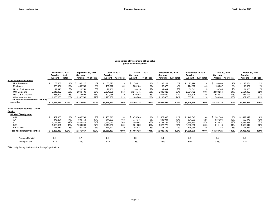#### Composition of Investments at Fair Value (amounts in thousands)

|                                           | December 31, 2021 |           |        | September 30, 2021 |            | June 30, 2021 |            | March 31, 2021 |            |             | December 31, 2020 | September 30, 2020 |            | June 30, 2020 |            | March 31, 2020 |            |  |
|-------------------------------------------|-------------------|-----------|--------|--------------------|------------|---------------|------------|----------------|------------|-------------|-------------------|--------------------|------------|---------------|------------|----------------|------------|--|
|                                           |                   | Carrying  | $%$ of | Carrying           |            | Carrying      |            | Carrying       |            | Carrying    |                   | Carrying           |            | Carrying      |            | Carrying       |            |  |
|                                           |                   | Amount    | Total  | Amount             | % of Total | Amount        | % of Total | Amount         | % of Total | Amount      | % of Total        | Amount             | % of Total | Amount        | % of Total | Amount         | % of Total |  |
| <b>Fixed Maturity Securities:</b>         |                   |           |        |                    |            |               |            |                |            |             |                   |                    |            |               |            |                |            |  |
| U.S. Treasuries                           |                   | 58,408    | $1\%$  | 65.117             | 1%         | 65,625        | 1%         | 70,832         | 1%         | 138,224     | 3%                | 73,199             | $1\%$      | 90,009        | 2%         | 93,464         | 2%         |  |
| Municipals                                |                   | 538,454   | 10%    | 459,783            | 9%         | 408,317       | 8%         | 300,104        | 6%         | 187,377     | 4%                | 174,908            | 4%         | 130,267       | 3%         | 19,671         | 1%         |  |
| Non-U.S. Government                       |                   | 22,416    | 0%     | 22,758             | 0%         | 22,950        | 1%         | 30,415         | 1%         | 31,031      | 0%                | 30,843             | 1%         | 30,765        | 1%         | 34,405         | 1%         |  |
| U.S. Corporate                            |                   | 2,945,302 | 56%    | 2,948,106          | 55%        | 2,891,598     | 55%        | 2,844,775      | 56%        | 2,888,625   | 57%               | 2,864,792          | 60%        | 2,803,254     | 64%        | 2,504,890      | 62%        |  |
| Non-U.S. Corporate                        |                   | 666,594   | 13%    | 712,603            | 13%        | 692,068       | 13%        | 679,302        | 13%        | 607,669     | 12%               | 599,526            | 12%        | 542,871       | 12%        | 451,194        | 11%        |  |
| Other asset-backed                        |                   | 1,035,165 | 20%    | 1,167,700          | 22%        | 1,175,909     | 22%        | 1,180,700      | 23%        | 1,193,670   | 24%               | 1,065,111          | 22%        | 786,960       | 18%        | 952,338        | 23%        |  |
| Total available-for-sale fixed maturity   |                   |           |        |                    |            |               |            |                |            |             |                   |                    |            |               |            |                |            |  |
| securities                                | s.                | 5,266,339 | 100%   | \$5,376,067        | 100%       | \$5,256,467   | 100%       | \$5,106,128    | 100%       | \$5,046,596 | 100%              | \$4,808,379        | 100%       | \$4,384,126   | 100%       | \$4,055,962    | 100%       |  |
|                                           |                   |           |        |                    |            |               |            |                |            |             |                   |                    |            |               |            |                |            |  |
| <b>Fixed Maturity Securities - Credit</b> |                   |           |        |                    |            |               |            |                |            |             |                   |                    |            |               |            |                |            |  |
| Quality                                   |                   |           |        |                    |            |               |            |                |            |             |                   |                    |            |               |            |                |            |  |
| NRSRO <sup>(1)</sup> Designation          |                   |           |        |                    |            |               |            |                |            |             |                   |                    |            |               |            |                |            |  |
| AAA                                       |                   | 482,950   | 9%     | 485,739            | 9%         | 483,513       | 9%         | 475,369        | 9%         | 572,338     | 11%               | 442,645            | 9%         | 301,769       | 7%         | 419,919        | 10%        |  |
| AA                                        |                   | 876,294   | 17%    | 898,158            | 17%        | 841.282       | 16%        | 777.345        | 15%        | 635.984     | 13%               | 591.292            | 12%        | 537,294       | 12%        | 502,076        | 12%        |  |
| A                                         |                   | 1,791,582 | 34%    | 1,829,844          | 34%        | 1,763,010     | 34%        | 1,786,601      | 35%        | 1,791,795   | 36%               | 1,774,870          | 37%        | 1,618,837     | 37%        | 1,486,987      | 37%        |  |
| <b>BBB</b>                                |                   | 1,958,901 | 37%    | 2,004,994          | 37%        | 2,013,940     | 38%        | 1,921,999      | 38%        | 1,927,775   | 38%               | 1,880,618          | 39%        | 1,814,443     | 41%        | 1,569,017      | 39%        |  |
| <b>BB &amp; Lower</b>                     |                   | 156,612   | 3%     | 157,332            | 3%         | 154,722       | 3%         | 144,814        | 3%         | 118,704     | 2%                | 118,954            | 3%         | 111,783       | 3%         | 77,964         | 2%         |  |
| <b>Total fixed maturity securities</b>    |                   | 5,266,339 | 100%   | \$5,376,067        | 100%       | \$5,256,467   | 100%       | \$5,106,128    | 100%       | \$5,046,596 | 100%              | \$4,808,379        | 100%       | \$4,384,126   | 100%       | \$4,055,963    | 100%       |  |
|                                           |                   |           |        |                    |            |               |            |                |            |             |                   |                    |            |               |            |                |            |  |
| <b>Average Duration</b>                   |                   | 3.9       |        | 3.7                |            | 3.6           |            | 3.6            |            | 3.4         |                   | 3.5                |            | 3.5           |            | 3.3            |            |  |
| Average Yield                             |                   | 2.7%      |        | 2.7%               |            | 2.8%          |            | 2.8%           |            | 2.8%        |                   | 3.0%               |            | 3.1%          |            | 3.2%           |            |  |

 $<sup>(1)</sup>$ Nationally Recognized Statistical Rating Organizations.</sup>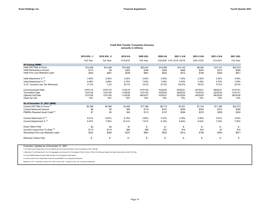#### Credit Risk Transfer Transaction Summary (amounts in millions)

|                                             | 2019 XOL-1       | 2019 XOL -2     | 2019 ILN  | 2020 XOL        | 2020 ILN        | 2021-1 ILN                  | 2021-2 ILN      | 2021-3 ILN      | 2021 XOL       |
|---------------------------------------------|------------------|-----------------|-----------|-----------------|-----------------|-----------------------------|-----------------|-----------------|----------------|
|                                             | <b>Full Year</b> | Full Year       | 1/19-9/19 | Full Year       |                 | 1/20-8/20 1/14-12/18, 4Q'19 | $9/20 - 12/20$  | $1/21 - 6/21$   | Full Year      |
| At Closing (\$MM)                           |                  |                 |           |                 |                 |                             |                 |                 |                |
| Initial CRT Risk In Force                   | \$14,456         | \$14,456        | \$10,563  | \$23,047        | \$14,909        | \$14,142                    | \$8,384         | \$12,141        | \$22,373       |
| Initial Reinsurance Amount                  | \$172            | \$5             | \$303     | \$168           | \$350           | \$495                       | \$303           | \$372           | \$206          |
| Initial First Loss Retention Layer          | \$434            | \$361           | \$238     | \$691           | \$522           | \$212                       | \$189           | \$304           | \$671          |
| Initial Attachment % (2)                    | 3.00%            | 2.50%           | 2.25%     | 3.00%           | 3.50%           | 1.50%                       | 2.25%           | 2.50%           | 3.00%          |
| Initial Detachment % (2)                    | 6.80%            | 2.98%           | 6.75%     | 7.00%           | 7.00%           | 5.00%                       | 7.00%           | 6.75%           | 7.00%          |
| % Of Covered Loss Tier Reinsured            | 31.2%            | 7.2%            | 63.7%     | 18.3%           | 67.0%           | 100.0%                      | 76.0%           | 72.0%           | 23.0%          |
| <b>Commencement Date</b>                    | 07/01/19         | 07/01/19        | 11/22/19  | 01/01/20        | 10/22/20        | 03/02/21                    | 04/16/21        | 09/02/21        | 01/01/21       |
| <b>Termination Date</b>                     | 12/31/29         | 12/31/29        | 11/26/29  | 12/31/30        | 10/25/30        | 08/25/33                    | 10/25/33        | 02/25/34        | 12/31/31       |
| <b>Optional Call Date</b>                   | 12/31/26         | 12/31/26        | 11/25/26  | 06/30/27        | 10/25/27        | 02/25/26                    | 04/25/28        | 08/25/28        | 06/30/28       |
| Clean-Up Call                               | 10%              | 10%             | 10%       | 10%             | 10%             | 10%                         | 10%             | 10%             | 10%            |
| As of December 31, 2021 (\$MM)              |                  |                 |           |                 |                 |                             |                 |                 |                |
| Current CRT Risk In Force (1)               | \$5,396          | \$5,396         | \$3,482   | \$17,446        | \$9,710         | \$7,631                     | \$7,316         | \$11,389        | \$22,373       |
| <b>Current Reinsured Amount</b>             | \$8              | \$5             | \$80      | \$116           | \$181           | \$295                       | \$303           | \$372           | \$206          |
| PMIERs Required Asset Credit <sup>(3)</sup> | \$7              | \$5             | \$45      | \$112           | \$137           | \$264                       | \$272           | \$358           | \$204          |
| Current Attachment % (2)                    | 8.01%            | 6.67%           | 6.79%     | 3.96%           | 5.37%           | 2.78%                       | 2.58%           | 2.67%           | 3.00%          |
| Current Detachment % (2)                    | 8.47%            | 7.95%           | 10.41%    | 7.61%           | 8.16%           | 6.64%                       | 8.02%           | 7.20%           | 7.00%          |
| <b>Enact Claims Paid</b>                    | \$2              | \$2             | \$1       | $\mathbb{S}$ -  | $$ -$           | $$ -$                       | $$ -$           | $\mathbb{S}$ -  | \$-            |
| Incurred Losses Ever To Date (4)            | \$115            | \$115           | \$80      | \$85            | \$37            | \$19                        | \$10            | \$7             | \$12           |
| Remaining First Loss Retention Layer        | \$432            | \$360           | \$237     | \$691           | \$522           | \$212                       | \$189           | \$304           | \$671          |
| <b>Reinsurer Claims Paid</b>                | $\mathsf{\$}$ -  | $\mathsf{\$}$ - | $$ -$     | $\mathcal{S}$ - | $\mathsf{\$}$ - | $$ -$                       | $\mathsf{\$}$ - | $\mathsf{\$}$ - | $\mathbb{S}$ - |

Footnotes: Updated as of December 31, 2021

1 The Total Current Primary Risk In Force Is \$56.9B And The Total Current Risk In Force Covered By A CRT Is \$52.3B;

2 Attachment % And Detachment % Are The Aggregate Loss Amounts As A Percentage Of Risk In Force At Which The Reinsurer Begins And Stops Paying Claims Under The Policy;

3 Current PMIERs Required Asset Credit Considers The Counterparty Credit Haircut;

4 Incurred Losses Ever To Date Shown Does Not Include IBNR Or Loss Adjustment Expenses;

Definitions: CRT = Credit Risk Transfer; RIF = Risk In Force; XOL = Excess Of Loss; ILN = Insurance Linked Note